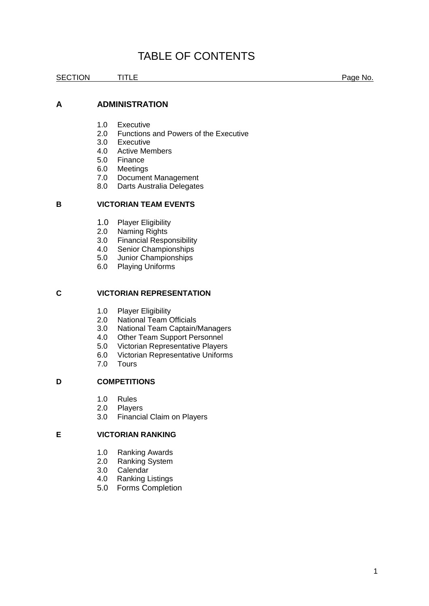# TABLE OF CONTENTS

SECTION TITLE Registers and the page No.

# **A ADMINISTRATION**

- 1.0 Executive<br>2.0 Functions
- 2.0 Functions and Powers of the Executive<br>3.0 Executive
- **Executive**
- 4.0 Active Members
- 5.0 Finance
- 6.0 Meetings<br>7.0 Documen
- Document Management
- 8.0 Darts Australia Delegates

# **B VICTORIAN TEAM EVENTS**

- 1.0 Player Eligibility
- 2.0 Naming Rights
- 3.0 Financial Responsibility
- 4.0 Senior Championships<br>5.0 Junior Championships
- Junior Championships
- 6.0 Playing Uniforms

## **C VICTORIAN REPRESENTATION**

- 1.0 Player Eligibility<br>2.0 National Team 0
- 2.0 National Team Officials<br>3.0 National Team Captain/
- National Team Captain/Managers
- 4.0 Other Team Support Personnel
- 5.0 Victorian Representative Players
- 6.0 Victorian Representative Uniforms
- 7.0 Tours

# **D COMPETITIONS**

- 1.0 Rules
- 2.0 Players
- 3.0 Financial Claim on Players

## **E VICTORIAN RANKING**

- 1.0 Ranking Awards<br>2.0 Ranking System
- Ranking System
- 3.0 Calendar
- 4.0 Ranking Listings
- 5.0 Forms Completion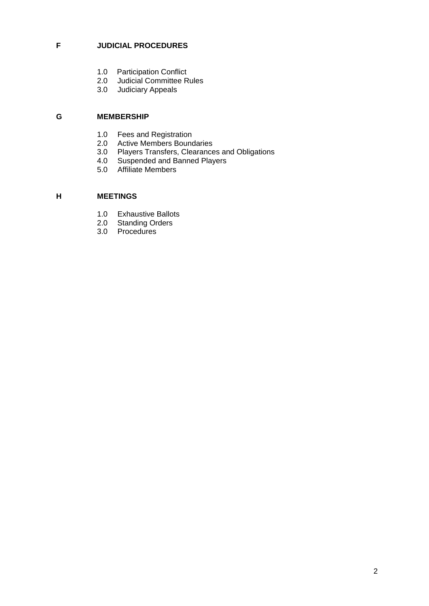# **F JUDICIAL PROCEDURES**

- 1.0 Participation Conflict<br>2.0 Judicial Committee R
- 2.0 Judicial Committee Rules<br>3.0 Judiciary Appeals
- Judiciary Appeals

# **G MEMBERSHIP**

- 1.0 Fees and Registration<br>2.0 Active Members Bound
- Active Members Boundaries
- 3.0 Players Transfers, Clearances and Obligations<br>4.0 Suspended and Banned Players
- Suspended and Banned Players
- 5.0 Affiliate Members

# **H MEETINGS**

- 1.0 Exhaustive Ballots
- 2.0 Standing Orders
- 3.0 Procedures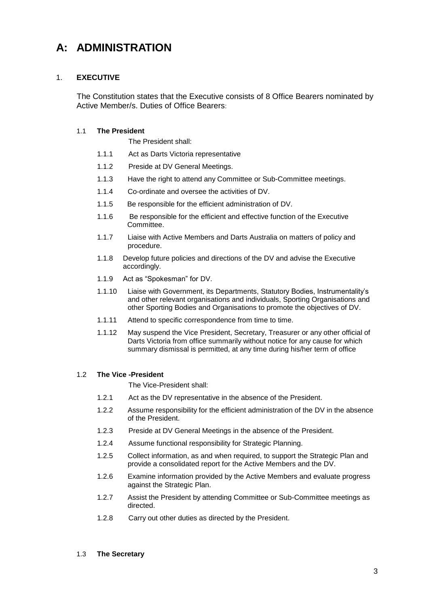# **A: ADMINISTRATION**

# 1. **EXECUTIVE**

The Constitution states that the Executive consists of 8 Office Bearers nominated by Active Member/s. Duties of Office Bearers:

# 1.1 **The President**

The President shall:

- 1.1.1 Act as Darts Victoria representative
- 1.1.2 Preside at DV General Meetings.
- 1.1.3 Have the right to attend any Committee or Sub-Committee meetings.
- 1.1.4 Co-ordinate and oversee the activities of DV.
- 1.1.5 Be responsible for the efficient administration of DV.
- 1.1.6 Be responsible for the efficient and effective function of the Executive Committee.
- 1.1.7 Liaise with Active Members and Darts Australia on matters of policy and procedure.
- 1.1.8 Develop future policies and directions of the DV and advise the Executive accordingly.
- 1.1.9 Act as "Spokesman" for DV.
- 1.1.10 Liaise with Government, its Departments, Statutory Bodies, Instrumentality's and other relevant organisations and individuals, Sporting Organisations and other Sporting Bodies and Organisations to promote the objectives of DV.
- 1.1.11 Attend to specific correspondence from time to time.
- 1.1.12 May suspend the Vice President, Secretary, Treasurer or any other official of Darts Victoria from office summarily without notice for any cause for which summary dismissal is permitted, at any time during his/her term of office

# 1.2 **The Vice -President**

The Vice-President shall:

- 1.2.1 Act as the DV representative in the absence of the President.
- 1.2.2 Assume responsibility for the efficient administration of the DV in the absence of the President.
- 1.2.3 Preside at DV General Meetings in the absence of the President.
- 1.2.4 Assume functional responsibility for Strategic Planning.
- 1.2.5 Collect information, as and when required, to support the Strategic Plan and provide a consolidated report for the Active Members and the DV.
- 1.2.6 Examine information provided by the Active Members and evaluate progress against the Strategic Plan.
- 1.2.7 Assist the President by attending Committee or Sub-Committee meetings as directed.
- 1.2.8 Carry out other duties as directed by the President.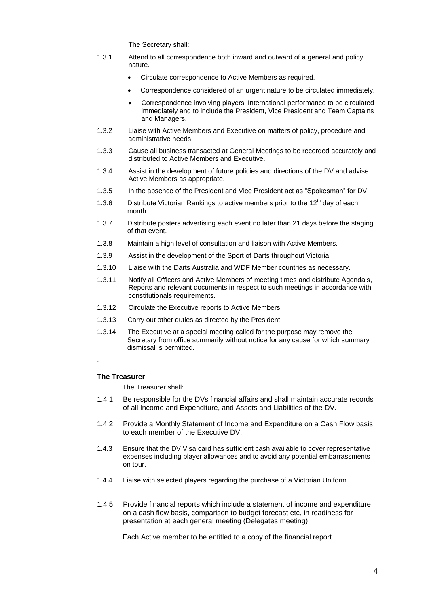The Secretary shall:

- 1.3.1 Attend to all correspondence both inward and outward of a general and policy nature.
	- Circulate correspondence to Active Members as required.
	- Correspondence considered of an urgent nature to be circulated immediately.
	- Correspondence involving players' International performance to be circulated immediately and to include the President, Vice President and Team Captains and Managers.
- 1.3.2 Liaise with Active Members and Executive on matters of policy, procedure and administrative needs.
- 1.3.3 Cause all business transacted at General Meetings to be recorded accurately and distributed to Active Members and Executive.
- 1.3.4 Assist in the development of future policies and directions of the DV and advise Active Members as appropriate.
- 1.3.5 In the absence of the President and Vice President act as "Spokesman" for DV.
- 1.3.6 Distribute Victorian Rankings to active members prior to the  $12<sup>th</sup>$  day of each month.
- 1.3.7 Distribute posters advertising each event no later than 21 days before the staging of that event.
- 1.3.8 Maintain a high level of consultation and liaison with Active Members.
- 1.3.9 Assist in the development of the Sport of Darts throughout Victoria.
- 1.3.10 Liaise with the Darts Australia and WDF Member countries as necessary.
- 1.3.11 Notify all Officers and Active Members of meeting times and distribute Agenda's, Reports and relevant documents in respect to such meetings in accordance with constitutionals requirements.
- 1.3.12 Circulate the Executive reports to Active Members.
- 1.3.13 Carry out other duties as directed by the President.
- 1.3.14 The Executive at a special meeting called for the purpose may remove the Secretary from office summarily without notice for any cause for which summary dismissal is permitted.

# **The Treasurer**

.

The Treasurer shall:

- 1.4.1 Be responsible for the DVs financial affairs and shall maintain accurate records of all Income and Expenditure, and Assets and Liabilities of the DV.
- 1.4.2 Provide a Monthly Statement of Income and Expenditure on a Cash Flow basis to each member of the Executive DV.
- 1.4.3 Ensure that the DV Visa card has sufficient cash available to cover representative expenses including player allowances and to avoid any potential embarrassments on tour.
- 1.4.4 Liaise with selected players regarding the purchase of a Victorian Uniform.
- 1.4.5 Provide financial reports which include a statement of income and expenditure on a cash flow basis, comparison to budget forecast etc, in readiness for presentation at each general meeting (Delegates meeting).

Each Active member to be entitled to a copy of the financial report.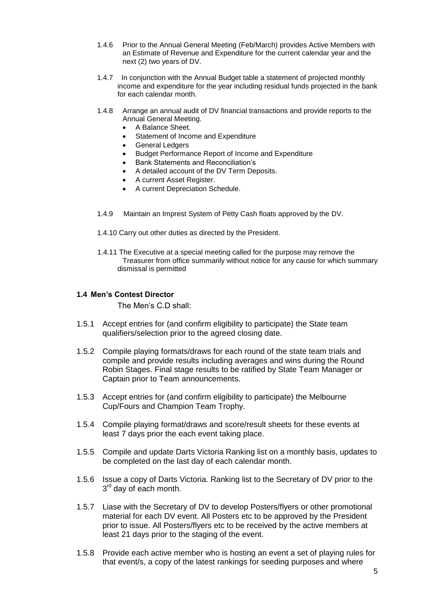- 1.4.6 Prior to the Annual General Meeting (Feb/March) provides Active Members with an Estimate of Revenue and Expenditure for the current calendar year and the next (2) two years of DV.
- 1.4.7 In conjunction with the Annual Budget table a statement of projected monthly income and expenditure for the year including residual funds projected in the bank for each calendar month.
- 1.4.8 Arrange an annual audit of DV financial transactions and provide reports to the Annual General Meeting.
	- A Balance Sheet.
	- Statement of Income and Expenditure
	- General Ledgers
	- Budget Performance Report of Income and Expenditure
	- Bank Statements and Reconciliation's
	- A detailed account of the DV Term Deposits.
	- A current Asset Register.
	- A current Depreciation Schedule.
- 1.4.9 Maintain an Imprest System of Petty Cash floats approved by the DV.
- 1.4.10 Carry out other duties as directed by the President.
- 1.4.11 The Executive at a special meeting called for the purpose may remove the Treasurer from office summarily without notice for any cause for which summary dismissal is permitted

# **1.4 Men's Contest Director**

The Men's C.D shall:

- 1.5.1 Accept entries for (and confirm eligibility to participate) the State team qualifiers/selection prior to the agreed closing date.
- 1.5.2 Compile playing formats/draws for each round of the state team trials and compile and provide results including averages and wins during the Round Robin Stages. Final stage results to be ratified by State Team Manager or Captain prior to Team announcements.
- 1.5.3 Accept entries for (and confirm eligibility to participate) the Melbourne Cup/Fours and Champion Team Trophy.
- 1.5.4 Compile playing format/draws and score/result sheets for these events at least 7 days prior the each event taking place.
- 1.5.5 Compile and update Darts Victoria Ranking list on a monthly basis, updates to be completed on the last day of each calendar month.
- 1.5.6 Issue a copy of Darts Victoria. Ranking list to the Secretary of DV prior to the 3<sup>rd</sup> day of each month.
- 1.5.7 Liase with the Secretary of DV to develop Posters/flyers or other promotional material for each DV event. All Posters etc to be approved by the President prior to issue. All Posters/flyers etc to be received by the active members at least 21 days prior to the staging of the event.
- 1.5.8 Provide each active member who is hosting an event a set of playing rules for that event/s, a copy of the latest rankings for seeding purposes and where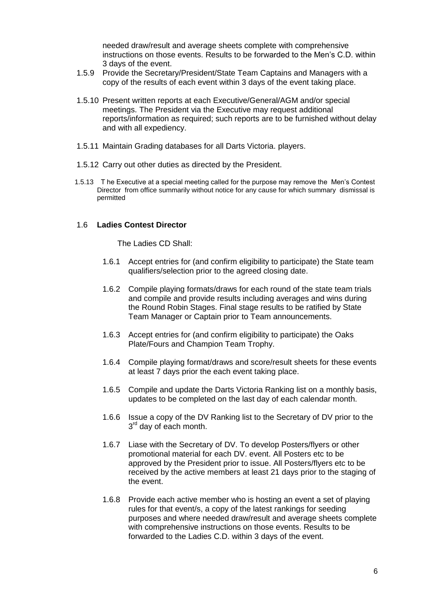needed draw/result and average sheets complete with comprehensive instructions on those events. Results to be forwarded to the Men's C.D. within 3 days of the event.

- 1.5.9 Provide the Secretary/President/State Team Captains and Managers with a copy of the results of each event within 3 days of the event taking place.
- 1.5.10 Present written reports at each Executive/General/AGM and/or special meetings. The President via the Executive may request additional reports/information as required; such reports are to be furnished without delay and with all expediency.
- 1.5.11 Maintain Grading databases for all Darts Victoria. players.
- 1.5.12 Carry out other duties as directed by the President.
- 1.5.13 T he Executive at a special meeting called for the purpose may remove the Men's Contest Director from office summarily without notice for any cause for which summary dismissal is permitted

# 1.6 **Ladies Contest Director**

The Ladies CD Shall:

- 1.6.1 Accept entries for (and confirm eligibility to participate) the State team qualifiers/selection prior to the agreed closing date.
- 1.6.2 Compile playing formats/draws for each round of the state team trials and compile and provide results including averages and wins during the Round Robin Stages. Final stage results to be ratified by State Team Manager or Captain prior to Team announcements.
- 1.6.3 Accept entries for (and confirm eligibility to participate) the Oaks Plate/Fours and Champion Team Trophy.
- 1.6.4 Compile playing format/draws and score/result sheets for these events at least 7 days prior the each event taking place.
- 1.6.5 Compile and update the Darts Victoria Ranking list on a monthly basis, updates to be completed on the last day of each calendar month.
- 1.6.6 Issue a copy of the DV Ranking list to the Secretary of DV prior to the 3<sup>rd</sup> day of each month.
- 1.6.7 Liase with the Secretary of DV. To develop Posters/flyers or other promotional material for each DV. event. All Posters etc to be approved by the President prior to issue. All Posters/flyers etc to be received by the active members at least 21 days prior to the staging of the event.
- 1.6.8 Provide each active member who is hosting an event a set of playing rules for that event/s, a copy of the latest rankings for seeding purposes and where needed draw/result and average sheets complete with comprehensive instructions on those events. Results to be forwarded to the Ladies C.D. within 3 days of the event.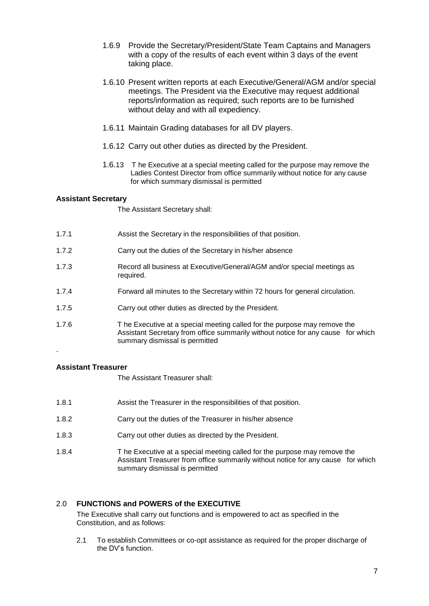- 1.6.9 Provide the Secretary/President/State Team Captains and Managers with a copy of the results of each event within 3 days of the event taking place.
- 1.6.10 Present written reports at each Executive/General/AGM and/or special meetings. The President via the Executive may request additional reports/information as required; such reports are to be furnished without delay and with all expediency.
- 1.6.11 Maintain Grading databases for all DV players.
- 1.6.12 Carry out other duties as directed by the President.
- 1.6.13 T he Executive at a special meeting called for the purpose may remove the Ladies Contest Director from office summarily without notice for any cause for which summary dismissal is permitted

# **Assistant Secretary**

The Assistant Secretary shall:

- 1.7.1 Assist the Secretary in the responsibilities of that position.
- 1.7.2 Carry out the duties of the Secretary in his/her absence
- 1.7.3 Record all business at Executive/General/AGM and/or special meetings as required.
- 1.7.4 Forward all minutes to the Secretary within 72 hours for general circulation.
- 1.7.5 Carry out other duties as directed by the President.
- 1.7.6 T he Executive at a special meeting called for the purpose may remove the Assistant Secretary from office summarily without notice for any cause for which summary dismissal is permitted

# **Assistant Treasurer**

.

The Assistant Treasurer shall:

- 1.8.1 Assist the Treasurer in the responsibilities of that position.
- 1.8.2 Carry out the duties of the Treasurer in his/her absence
- 1.8.3 Carry out other duties as directed by the President.
- 1.8.4 T he Executive at a special meeting called for the purpose may remove the Assistant Treasurer from office summarily without notice for any cause for which summary dismissal is permitted

# 2.0 **FUNCTIONS and POWERS of the EXECUTIVE**

The Executive shall carry out functions and is empowered to act as specified in the Constitution, and as follows:

2.1 To establish Committees or co-opt assistance as required for the proper discharge of the DV's function.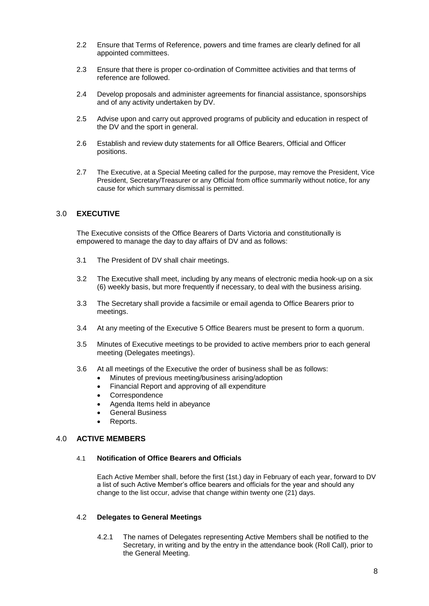- 2.2 Ensure that Terms of Reference, powers and time frames are clearly defined for all appointed committees.
- 2.3 Ensure that there is proper co-ordination of Committee activities and that terms of reference are followed.
- 2.4 Develop proposals and administer agreements for financial assistance, sponsorships and of any activity undertaken by DV.
- 2.5 Advise upon and carry out approved programs of publicity and education in respect of the DV and the sport in general.
- 2.6 Establish and review duty statements for all Office Bearers, Official and Officer positions.
- 2.7 The Executive, at a Special Meeting called for the purpose, may remove the President, Vice President, Secretary/Treasurer or any Official from office summarily without notice, for any cause for which summary dismissal is permitted.

# 3.0 **EXECUTIVE**

The Executive consists of the Office Bearers of Darts Victoria and constitutionally is empowered to manage the day to day affairs of DV and as follows:

- 3.1 The President of DV shall chair meetings.
- 3.2 The Executive shall meet, including by any means of electronic media hook-up on a six (6) weekly basis, but more frequently if necessary, to deal with the business arising.
- 3.3 The Secretary shall provide a facsimile or email agenda to Office Bearers prior to meetings.
- 3.4 At any meeting of the Executive 5 Office Bearers must be present to form a quorum.
- 3.5 Minutes of Executive meetings to be provided to active members prior to each general meeting (Delegates meetings).
- 3.6 At all meetings of the Executive the order of business shall be as follows:
	- Minutes of previous meeting/business arising/adoption
	- Financial Report and approving of all expenditure
	- Correspondence
	- Agenda Items held in abeyance
	- General Business
	- Reports.

# 4.0 **ACTIVE MEMBERS**

## 4.1 **Notification of Office Bearers and Officials**

Each Active Member shall, before the first (1st.) day in February of each year, forward to DV a list of such Active Member's office bearers and officials for the year and should any change to the list occur, advise that change within twenty one (21) days.

# 4.2 **Delegates to General Meetings**

4.2.1 The names of Delegates representing Active Members shall be notified to the Secretary, in writing and by the entry in the attendance book (Roll Call), prior to the General Meeting.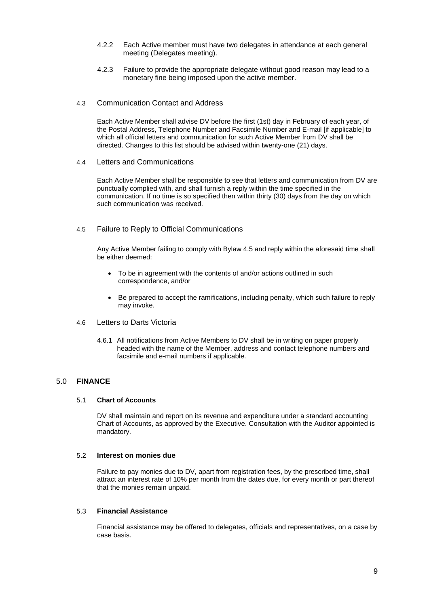- 4.2.2 Each Active member must have two delegates in attendance at each general meeting (Delegates meeting).
- 4.2.3 Failure to provide the appropriate delegate without good reason may lead to a monetary fine being imposed upon the active member.
- 4.3 Communication Contact and Address

Each Active Member shall advise DV before the first (1st) day in February of each year, of the Postal Address, Telephone Number and Facsimile Number and E-mail [if applicable] to which all official letters and communication for such Active Member from DV shall be directed. Changes to this list should be advised within twenty-one (21) days.

4.4 Letters and Communications

Each Active Member shall be responsible to see that letters and communication from DV are punctually complied with, and shall furnish a reply within the time specified in the communication. If no time is so specified then within thirty (30) days from the day on which such communication was received.

4.5 Failure to Reply to Official Communications

Any Active Member failing to comply with Bylaw 4.5 and reply within the aforesaid time shall be either deemed:

- To be in agreement with the contents of and/or actions outlined in such correspondence, and/or
- Be prepared to accept the ramifications, including penalty, which such failure to reply may invoke.
- 4.6 Letters to Darts Victoria
	- 4.6.1 All notifications from Active Members to DV shall be in writing on paper properly headed with the name of the Member, address and contact telephone numbers and facsimile and e-mail numbers if applicable.

## 5.0 **FINANCE**

#### 5.1 **Chart of Accounts**

DV shall maintain and report on its revenue and expenditure under a standard accounting Chart of Accounts, as approved by the Executive. Consultation with the Auditor appointed is mandatory.

#### 5.2 **Interest on monies due**

Failure to pay monies due to DV, apart from registration fees, by the prescribed time, shall attract an interest rate of 10% per month from the dates due, for every month or part thereof that the monies remain unpaid.

#### 5.3 **Financial Assistance**

Financial assistance may be offered to delegates, officials and representatives, on a case by case basis.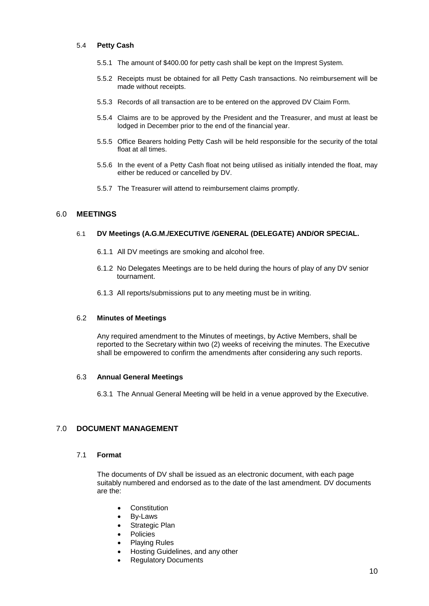### 5.4 **Petty Cash**

- 5.5.1 The amount of \$400.00 for petty cash shall be kept on the Imprest System.
- 5.5.2 Receipts must be obtained for all Petty Cash transactions. No reimbursement will be made without receipts.
- 5.5.3 Records of all transaction are to be entered on the approved DV Claim Form.
- 5.5.4 Claims are to be approved by the President and the Treasurer, and must at least be lodged in December prior to the end of the financial year.
- 5.5.5 Office Bearers holding Petty Cash will be held responsible for the security of the total float at all times.
- 5.5.6 In the event of a Petty Cash float not being utilised as initially intended the float, may either be reduced or cancelled by DV.
- 5.5.7 The Treasurer will attend to reimbursement claims promptly.

# 6.0 **MEETINGS**

#### 6.1 **DV Meetings (A.G.M./EXECUTIVE /GENERAL (DELEGATE) AND/OR SPECIAL.**

- 6.1.1 All DV meetings are smoking and alcohol free.
- 6.1.2 No Delegates Meetings are to be held during the hours of play of any DV senior tournament.
- 6.1.3 All reports/submissions put to any meeting must be in writing.

#### 6.2 **Minutes of Meetings**

Any required amendment to the Minutes of meetings, by Active Members, shall be reported to the Secretary within two (2) weeks of receiving the minutes. The Executive shall be empowered to confirm the amendments after considering any such reports.

#### 6.3 **Annual General Meetings**

6.3.1 The Annual General Meeting will be held in a venue approved by the Executive.

# 7.0 **DOCUMENT MANAGEMENT**

# 7.1 **Format**

The documents of DV shall be issued as an electronic document, with each page suitably numbered and endorsed as to the date of the last amendment. DV documents are the:

- Constitution
- By-Laws
- Strategic Plan
- Policies
- Playing Rules
- Hosting Guidelines, and any other
- Regulatory Documents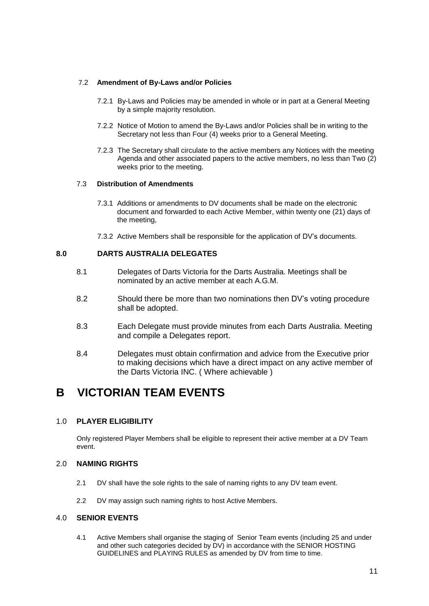## 7.2 **Amendment of By-Laws and/or Policies**

- 7.2.1 By-Laws and Policies may be amended in whole or in part at a General Meeting by a simple majority resolution.
- 7.2.2 Notice of Motion to amend the By-Laws and/or Policies shall be in writing to the Secretary not less than Four (4) weeks prior to a General Meeting.
- 7.2.3 The Secretary shall circulate to the active members any Notices with the meeting Agenda and other associated papers to the active members, no less than Two (2) weeks prior to the meeting.

## 7.3 **Distribution of Amendments**

- 7.3.1 Additions or amendments to DV documents shall be made on the electronic document and forwarded to each Active Member, within twenty one (21) days of the meeting,
- 7.3.2 Active Members shall be responsible for the application of DV's documents.

# **8.0 DARTS AUSTRALIA DELEGATES**

- 8.1 Delegates of Darts Victoria for the Darts Australia. Meetings shall be nominated by an active member at each A.G.M.
- 8.2 Should there be more than two nominations then DV's voting procedure shall be adopted.
- 8.3 Each Delegate must provide minutes from each Darts Australia. Meeting and compile a Delegates report.
- 8.4 Delegates must obtain confirmation and advice from the Executive prior to making decisions which have a direct impact on any active member of the Darts Victoria INC. ( Where achievable )

# **B VICTORIAN TEAM EVENTS**

# 1.0 **PLAYER ELIGIBILITY**

Only registered Player Members shall be eligible to represent their active member at a DV Team event.

# 2.0 **NAMING RIGHTS**

- 2.1 DV shall have the sole rights to the sale of naming rights to any DV team event.
- 2.2 DV may assign such naming rights to host Active Members.

# 4.0 **SENIOR EVENTS**

4.1 Active Members shall organise the staging of Senior Team events (including 25 and under and other such categories decided by DV) in accordance with the SENIOR HOSTING GUIDELINES and PLAYING RULES as amended by DV from time to time.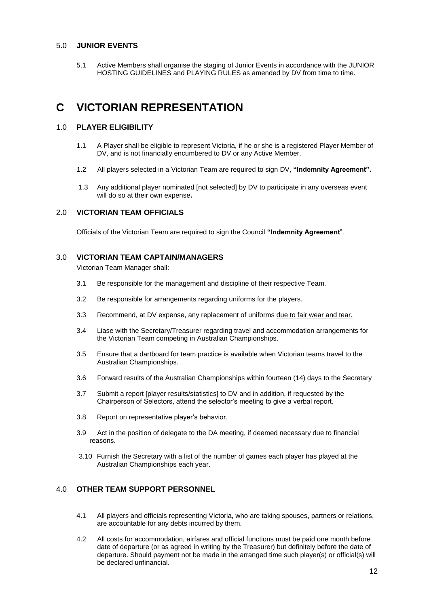# 5.0 **JUNIOR EVENTS**

5.1 Active Members shall organise the staging of Junior Events in accordance with the JUNIOR HOSTING GUIDELINES and PLAYING RULES as amended by DV from time to time.

# **C VICTORIAN REPRESENTATION**

## 1.0 **PLAYER ELIGIBILITY**

- 1.1 A Player shall be eligible to represent Victoria, if he or she is a registered Player Member of DV, and is not financially encumbered to DV or any Active Member.
- 1.2 All players selected in a Victorian Team are required to sign DV, **"Indemnity Agreement".**
- 1.3 Any additional player nominated [not selected] by DV to participate in any overseas event will do so at their own expense**.**

## 2.0 **VICTORIAN TEAM OFFICIALS**

Officials of the Victorian Team are required to sign the Council **"Indemnity Agreement**".

### 3.0 **VICTORIAN TEAM CAPTAIN/MANAGERS**

Victorian Team Manager shall:

- 3.1 Be responsible for the management and discipline of their respective Team.
- 3.2 Be responsible for arrangements regarding uniforms for the players.
- 3.3 Recommend, at DV expense, any replacement of uniforms due to fair wear and tear.
- 3.4 Liase with the Secretary/Treasurer regarding travel and accommodation arrangements for the Victorian Team competing in Australian Championships.
- 3.5 Ensure that a dartboard for team practice is available when Victorian teams travel to the Australian Championships.
- 3.6 Forward results of the Australian Championships within fourteen (14) days to the Secretary
- 3.7 Submit a report [player results/statistics] to DV and in addition, if requested by the Chairperson of Selectors, attend the selector's meeting to give a verbal report.
- 3.8 Report on representative player's behavior.
- 3.9 Act in the position of delegate to the DA meeting, if deemed necessary due to financial reasons.
- 3.10 Furnish the Secretary with a list of the number of games each player has played at the Australian Championships each year.

# 4.0 **OTHER TEAM SUPPORT PERSONNEL**

- 4.1 All players and officials representing Victoria, who are taking spouses, partners or relations, are accountable for any debts incurred by them.
- 4.2 All costs for accommodation, airfares and official functions must be paid one month before date of departure (or as agreed in writing by the Treasurer) but definitely before the date of departure. Should payment not be made in the arranged time such player(s) or official(s) will be declared unfinancial.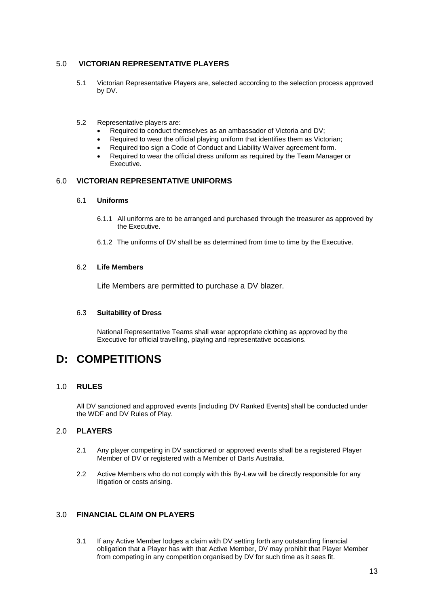# 5.0 **VICTORIAN REPRESENTATIVE PLAYERS**

- 5.1 Victorian Representative Players are, selected according to the selection process approved by DV.
- 5.2 Representative players are:
	- Required to conduct themselves as an ambassador of Victoria and DV;
	- Required to wear the official playing uniform that identifies them as Victorian;
	- Required too sign a Code of Conduct and Liability Waiver agreement form.
	- Required to wear the official dress uniform as required by the Team Manager or Executive.

# 6.0 **VICTORIAN REPRESENTATIVE UNIFORMS**

#### 6.1 **Uniforms**

- 6.1.1 All uniforms are to be arranged and purchased through the treasurer as approved by the Executive.
- 6.1.2 The uniforms of DV shall be as determined from time to time by the Executive.

## 6.2 **Life Members**

Life Members are permitted to purchase a DV blazer.

### 6.3 **Suitability of Dress**

National Representative Teams shall wear appropriate clothing as approved by the Executive for official travelling, playing and representative occasions.

# **D: COMPETITIONS**

# 1.0 **RULES**

All DV sanctioned and approved events [including DV Ranked Events] shall be conducted under the WDF and DV Rules of Play.

# 2.0 **PLAYERS**

- 2.1 Any player competing in DV sanctioned or approved events shall be a registered Player Member of DV or registered with a Member of Darts Australia.
- 2.2 Active Members who do not comply with this By-Law will be directly responsible for any litigation or costs arising.

# 3.0 **FINANCIAL CLAIM ON PLAYERS**

3.1 If any Active Member lodges a claim with DV setting forth any outstanding financial obligation that a Player has with that Active Member, DV may prohibit that Player Member from competing in any competition organised by DV for such time as it sees fit.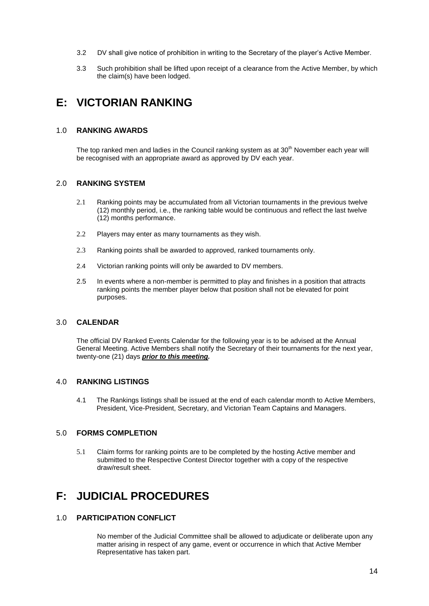- 3.2 DV shall give notice of prohibition in writing to the Secretary of the player's Active Member.
- 3.3 Such prohibition shall be lifted upon receipt of a clearance from the Active Member, by which the claim(s) have been lodged.

# **E: VICTORIAN RANKING**

# 1.0 **RANKING AWARDS**

The top ranked men and ladies in the Council ranking system as at 30<sup>th</sup> November each year will be recognised with an appropriate award as approved by DV each year.

# 2.0 **RANKING SYSTEM**

- 2.1 Ranking points may be accumulated from all Victorian tournaments in the previous twelve (12) monthly period, i.e., the ranking table would be continuous and reflect the last twelve (12) months performance.
- 2.2 Players may enter as many tournaments as they wish.
- 2.3 Ranking points shall be awarded to approved, ranked tournaments only.
- 2.4 Victorian ranking points will only be awarded to DV members.
- 2.5 In events where a non-member is permitted to play and finishes in a position that attracts ranking points the member player below that position shall not be elevated for point purposes.

### 3.0 **CALENDAR**

The official DV Ranked Events Calendar for the following year is to be advised at the Annual General Meeting. Active Members shall notify the Secretary of their tournaments for the next year, twenty-one (21) days *prior to this meeting.*

# 4.0 **RANKING LISTINGS**

4.1 The Rankings listings shall be issued at the end of each calendar month to Active Members, President, Vice-President, Secretary, and Victorian Team Captains and Managers.

# 5.0 **FORMS COMPLETION**

5.1 Claim forms for ranking points are to be completed by the hosting Active member and submitted to the Respective Contest Director together with a copy of the respective draw/result sheet.

# **F: JUDICIAL PROCEDURES**

# 1.0 **PARTICIPATION CONFLICT**

No member of the Judicial Committee shall be allowed to adjudicate or deliberate upon any matter arising in respect of any game, event or occurrence in which that Active Member Representative has taken part.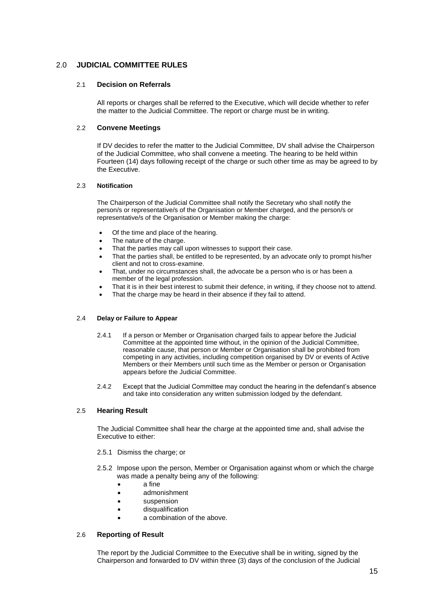# 2.0 **JUDICIAL COMMITTEE RULES**

## 2.1 **Decision on Referrals**

All reports or charges shall be referred to the Executive, which will decide whether to refer the matter to the Judicial Committee. The report or charge must be in writing.

## 2.2 **Convene Meetings**

If DV decides to refer the matter to the Judicial Committee, DV shall advise the Chairperson of the Judicial Committee, who shall convene a meeting. The hearing to be held within Fourteen (14) days following receipt of the charge or such other time as may be agreed to by the Executive.

#### 2.3 **Notification**

The Chairperson of the Judicial Committee shall notify the Secretary who shall notify the person/s or representative/s of the Organisation or Member charged, and the person/s or representative/s of the Organisation or Member making the charge:

- Of the time and place of the hearing.
- The nature of the charge.
- That the parties may call upon witnesses to support their case.
- That the parties shall, be entitled to be represented, by an advocate only to prompt his/her client and not to cross-examine.
- That, under no circumstances shall, the advocate be a person who is or has been a member of the legal profession.
- That it is in their best interest to submit their defence, in writing, if they choose not to attend.
- That the charge may be heard in their absence if they fail to attend.

#### 2.4 **Delay or Failure to Appear**

- 2.4.1 If a person or Member or Organisation charged fails to appear before the Judicial Committee at the appointed time without, in the opinion of the Judicial Committee, reasonable cause, that person or Member or Organisation shall be prohibited from competing in any activities, including competition organised by DV or events of Active Members or their Members until such time as the Member or person or Organisation appears before the Judicial Committee.
- 2.4.2 Except that the Judicial Committee may conduct the hearing in the defendant's absence and take into consideration any written submission lodged by the defendant.

# 2.5 **Hearing Result**

The Judicial Committee shall hear the charge at the appointed time and, shall advise the Executive to either:

- 2.5.1 Dismiss the charge; or
- 2.5.2 Impose upon the person, Member or Organisation against whom or which the charge was made a penalty being any of the following:
	- a fine
	- admonishment
	- **•** suspension
	- **•** disqualification
	- a combination of the above.

#### 2.6 **Reporting of Result**

The report by the Judicial Committee to the Executive shall be in writing, signed by the Chairperson and forwarded to DV within three (3) days of the conclusion of the Judicial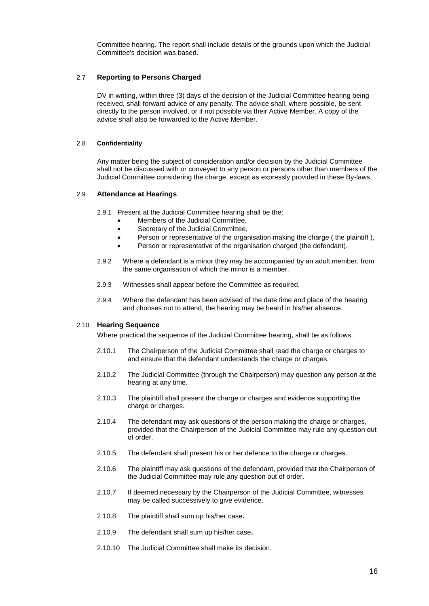Committee hearing. The report shall include details of the grounds upon which the Judicial Committee's decision was based.

#### 2.7 **Reporting to Persons Charged**

DV in writing, within three (3) days of the decision of the Judicial Committee hearing being received, shall forward advice of any penalty. The advice shall, where possible, be sent directly to the person involved, or if not possible via their Active Member. A copy of the advice shall also be forwarded to the Active Member.

#### 2.8 **Confidentiality**

Any matter being the subject of consideration and/or decision by the Judicial Committee shall not be discussed with or conveyed to any person or persons other than members of the Judicial Committee considering the charge, except as expressly provided in these By-laws.

#### 2.9 **Attendance at Hearings**

- 2.9.1 Present at the Judicial Committee hearing shall be the:
	- Members of the Judicial Committee,
	- Secretary of the Judicial Committee,
	- Person or representative of the organisation making the charge (the plaintiff),
	- Person or representative of the organisation charged (the defendant).
- 2.9.2 Where a defendant is a minor they may be accompanied by an adult member, from the same organisation of which the minor is a member.
- 2.9.3 Witnesses shall appear before the Committee as required.
- 2.9.4 Where the defendant has been advised of the date time and place of the hearing and chooses not to attend, the hearing may be heard in his/her absence.

#### 2.10 **Hearing Sequence**

Where practical the sequence of the Judicial Committee hearing, shall be as follows:

- 2.10.1 The Chairperson of the Judicial Committee shall read the charge or charges to and ensure that the defendant understands the charge or charges.
- 2.10.2 The Judicial Committee (through the Chairperson) may question any person at the hearing at any time.
- 2.10.3 The plaintiff shall present the charge or charges and evidence supporting the charge or charges.
- 2.10.4 The defendant may ask questions of the person making the charge or charges, provided that the Chairperson of the Judicial Committee may rule any question out of order.
- 2.10.5 The defendant shall present his or her defence to the charge or charges.
- 2.10.6 The plaintiff may ask questions of the defendant, provided that the Chairperson of the Judicial Committee may rule any question out of order.
- 2.10.7 If deemed necessary by the Chairperson of the Judicial Committee, witnesses may be called successively to give evidence.
- 2.10.8 The plaintiff shall sum up his/her case**.**
- 2.10.9 The defendant shall sum up his/her case**.**
- 2.10.10 The Judicial Committee shall make its decision.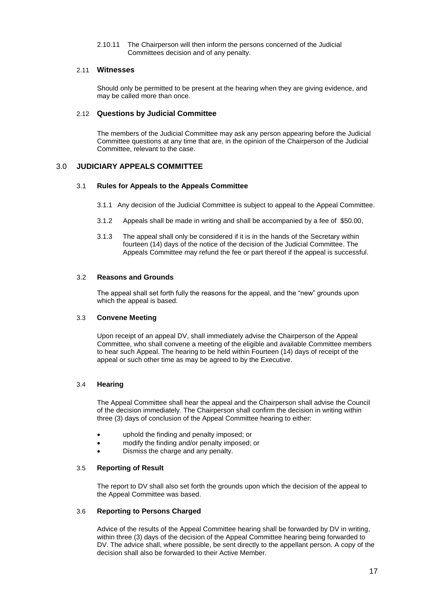2.10.11 The Chairperson will then inform the persons concerned of the Judicial Committees decision and of any penalty.

## 2.11 **Witnesses**

Should only be permitted to be present at the hearing when they are giving evidence, and may be called more than once.

#### 2.12 **Questions by Judicial Committee**

The members of the Judicial Committee may ask any person appearing before the Judicial Committee questions at any time that are, in the opinion of the Chairperson of the Judicial Committee, relevant to the case.

# 3.0 **JUDICIARY APPEALS COMMITTEE**

#### 3.1 **Rules for Appeals to the Appeals Committee**

- 3.1.1 Any decision of the Judicial Committee is subject to appeal to the Appeal Committee.
- 3.1.2 Appeals shall be made in writing and shall be accompanied by a fee of \$50.00,
- 3.1.3 The appeal shall only be considered if it is in the hands of the Secretary within fourteen (14) days of the notice of the decision of the Judicial Committee. The Appeals Committee may refund the fee or part thereof if the appeal is successful.

#### 3.2 **Reasons and Grounds**

The appeal shall set forth fully the reasons for the appeal, and the "new" grounds upon which the appeal is based.

#### 3.3 **Convene Meeting**

Upon receipt of an appeal DV, shall immediately advise the Chairperson of the Appeal Committee, who shall convene a meeting of the eligible and available Committee members to hear such Appeal. The hearing to be held within Fourteen (14) days of receipt of the appeal or such other time as may be agreed to by the Executive.

#### 3.4 **Hearing**

The Appeal Committee shall hear the appeal and the Chairperson shall advise the Council of the decision immediately. The Chairperson shall confirm the decision in writing within three (3) days of conclusion of the Appeal Committee hearing to either:

- uphold the finding and penalty imposed; or
- modify the finding and/or penalty imposed; or
- Dismiss the charge and any penalty.

#### 3.5 **Reporting of Result**

The report to DV shall also set forth the grounds upon which the decision of the appeal to the Appeal Committee was based.

#### 3.6 **Reporting to Persons Charged**

Advice of the results of the Appeal Committee hearing shall be forwarded by DV in writing, within three (3) days of the decision of the Appeal Committee hearing being forwarded to DV. The advice shall, where possible, be sent directly to the appellant person. A copy of the decision shall also be forwarded to their Active Member.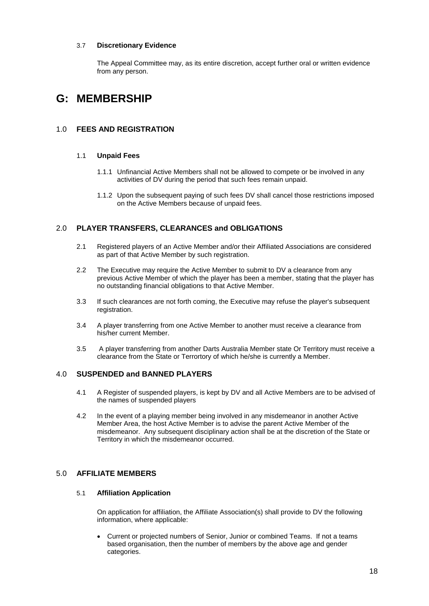## 3.7 **Discretionary Evidence**

The Appeal Committee may, as its entire discretion, accept further oral or written evidence from any person.

# **G: MEMBERSHIP**

# 1.0 **FEES AND REGISTRATION**

### 1.1 **Unpaid Fees**

- 1.1.1 Unfinancial Active Members shall not be allowed to compete or be involved in any activities of DV during the period that such fees remain unpaid.
- 1.1.2 Upon the subsequent paying of such fees DV shall cancel those restrictions imposed on the Active Members because of unpaid fees.

# 2.0 **PLAYER TRANSFERS, CLEARANCES and OBLIGATIONS**

- 2.1 Registered players of an Active Member and/or their Affiliated Associations are considered as part of that Active Member by such registration.
- 2.2 The Executive may require the Active Member to submit to DV a clearance from any previous Active Member of which the player has been a member, stating that the player has no outstanding financial obligations to that Active Member.
- 3.3 If such clearances are not forth coming, the Executive may refuse the player's subsequent registration.
- 3.4 A player transferring from one Active Member to another must receive a clearance from his/her current Member.
- 3.5 A player transferring from another Darts Australia Member state Or Territory must receive a clearance from the State or Terrortory of which he/she is currently a Member.

# 4.0 **SUSPENDED and BANNED PLAYERS**

- 4.1 A Register of suspended players, is kept by DV and all Active Members are to be advised of the names of suspended players
- 4.2 In the event of a playing member being involved in any misdemeanor in another Active Member Area, the host Active Member is to advise the parent Active Member of the misdemeanor. Any subsequent disciplinary action shall be at the discretion of the State or Territory in which the misdemeanor occurred.

# 5.0 **AFFILIATE MEMBERS**

#### 5.1 **Affiliation Application**

On application for affiliation, the Affiliate Association(s) shall provide to DV the following information, where applicable:

 Current or projected numbers of Senior, Junior or combined Teams. If not a teams based organisation, then the number of members by the above age and gender categories.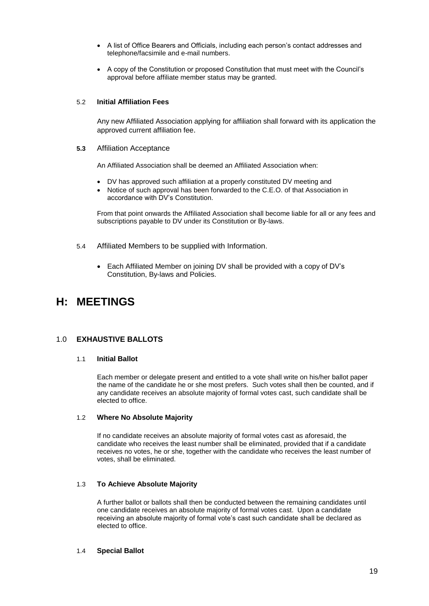- A list of Office Bearers and Officials, including each person's contact addresses and telephone/facsimile and e-mail numbers.
- A copy of the Constitution or proposed Constitution that must meet with the Council's approval before affiliate member status may be granted.

## 5.2 **Initial Affiliation Fees**

Any new Affiliated Association applying for affiliation shall forward with its application the approved current affiliation fee.

#### **5.3** Affiliation Acceptance

An Affiliated Association shall be deemed an Affiliated Association when:

- DV has approved such affiliation at a properly constituted DV meeting and
- Notice of such approval has been forwarded to the C.E.O. of that Association in accordance with DV's Constitution.

From that point onwards the Affiliated Association shall become liable for all or any fees and subscriptions payable to DV under its Constitution or By-laws.

- 5.4 Affiliated Members to be supplied with Information.
	- Each Affiliated Member on joining DV shall be provided with a copy of DV's Constitution, By-laws and Policies.

# **H: MEETINGS**

# 1.0 **EXHAUSTIVE BALLOTS**

#### 1.1 **Initial Ballot**

Each member or delegate present and entitled to a vote shall write on his/her ballot paper the name of the candidate he or she most prefers. Such votes shall then be counted, and if any candidate receives an absolute majority of formal votes cast, such candidate shall be elected to office.

#### 1.2 **Where No Absolute Majority**

If no candidate receives an absolute majority of formal votes cast as aforesaid, the candidate who receives the least number shall be eliminated, provided that if a candidate receives no votes, he or she, together with the candidate who receives the least number of votes, shall be eliminated.

#### 1.3 **To Achieve Absolute Majority**

A further ballot or ballots shall then be conducted between the remaining candidates until one candidate receives an absolute majority of formal votes cast. Upon a candidate receiving an absolute majority of formal vote's cast such candidate shall be declared as elected to office.

#### 1.4 **Special Ballot**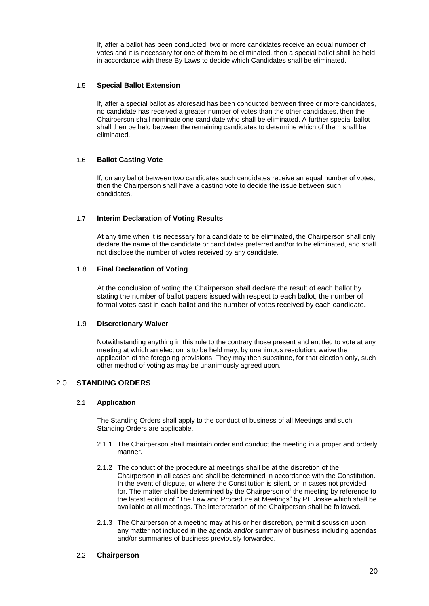If, after a ballot has been conducted, two or more candidates receive an equal number of votes and it is necessary for one of them to be eliminated, then a special ballot shall be held in accordance with these By Laws to decide which Candidates shall be eliminated.

#### 1.5 **Special Ballot Extension**

If, after a special ballot as aforesaid has been conducted between three or more candidates, no candidate has received a greater number of votes than the other candidates, then the Chairperson shall nominate one candidate who shall be eliminated. A further special ballot shall then be held between the remaining candidates to determine which of them shall be eliminated.

## 1.6 **Ballot Casting Vote**

If, on any ballot between two candidates such candidates receive an equal number of votes, then the Chairperson shall have a casting vote to decide the issue between such candidates.

## 1.7 **Interim Declaration of Voting Results**

At any time when it is necessary for a candidate to be eliminated, the Chairperson shall only declare the name of the candidate or candidates preferred and/or to be eliminated, and shall not disclose the number of votes received by any candidate.

#### 1.8 **Final Declaration of Voting**

At the conclusion of voting the Chairperson shall declare the result of each ballot by stating the number of ballot papers issued with respect to each ballot, the number of formal votes cast in each ballot and the number of votes received by each candidate.

#### 1.9 **Discretionary Waiver**

Notwithstanding anything in this rule to the contrary those present and entitled to vote at any meeting at which an election is to be held may, by unanimous resolution, waive the application of the foregoing provisions. They may then substitute, for that election only, such other method of voting as may be unanimously agreed upon.

# 2.0 **STANDING ORDERS**

#### 2.1 **Application**

The Standing Orders shall apply to the conduct of business of all Meetings and such Standing Orders are applicable.

- 2.1.1 The Chairperson shall maintain order and conduct the meeting in a proper and orderly manner.
- 2.1.2 The conduct of the procedure at meetings shall be at the discretion of the Chairperson in all cases and shall be determined in accordance with the Constitution. In the event of dispute, or where the Constitution is silent, or in cases not provided for. The matter shall be determined by the Chairperson of the meeting by reference to the latest edition of "The Law and Procedure at Meetings" by PE Joske which shall be available at all meetings. The interpretation of the Chairperson shall be followed.
- 2.1.3 The Chairperson of a meeting may at his or her discretion, permit discussion upon any matter not included in the agenda and/or summary of business including agendas and/or summaries of business previously forwarded.

#### 2.2 **Chairperson**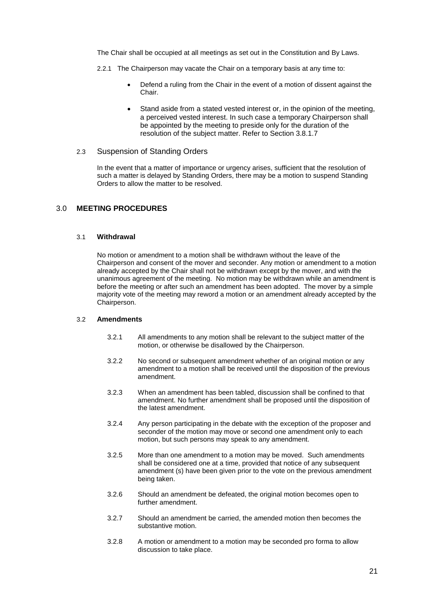The Chair shall be occupied at all meetings as set out in the Constitution and By Laws.

- 2.2.1 The Chairperson may vacate the Chair on a temporary basis at any time to:
	- Defend a ruling from the Chair in the event of a motion of dissent against the Chair.
	- Stand aside from a stated vested interest or, in the opinion of the meeting, a perceived vested interest. In such case a temporary Chairperson shall be appointed by the meeting to preside only for the duration of the resolution of the subject matter. Refer to Section 3.8.1.7

# 2.3 Suspension of Standing Orders

In the event that a matter of importance or urgency arises, sufficient that the resolution of such a matter is delayed by Standing Orders, there may be a motion to suspend Standing Orders to allow the matter to be resolved.

## 3.0 **MEETING PROCEDURES**

#### 3.1 **Withdrawal**

No motion or amendment to a motion shall be withdrawn without the leave of the Chairperson and consent of the mover and seconder. Any motion or amendment to a motion already accepted by the Chair shall not be withdrawn except by the mover, and with the unanimous agreement of the meeting. No motion may be withdrawn while an amendment is before the meeting or after such an amendment has been adopted. The mover by a simple majority vote of the meeting may reword a motion or an amendment already accepted by the Chairperson.

#### 3.2 **Amendments**

- 3.2.1 All amendments to any motion shall be relevant to the subject matter of the motion, or otherwise be disallowed by the Chairperson.
- 3.2.2 No second or subsequent amendment whether of an original motion or any amendment to a motion shall be received until the disposition of the previous amendment.
- 3.2.3 When an amendment has been tabled, discussion shall be confined to that amendment. No further amendment shall be proposed until the disposition of the latest amendment.
- 3.2.4 Any person participating in the debate with the exception of the proposer and seconder of the motion may move or second one amendment only to each motion, but such persons may speak to any amendment.
- 3.2.5 More than one amendment to a motion may be moved. Such amendments shall be considered one at a time, provided that notice of any subsequent amendment (s) have been given prior to the vote on the previous amendment being taken.
- 3.2.6 Should an amendment be defeated, the original motion becomes open to further amendment.
- 3.2.7 Should an amendment be carried, the amended motion then becomes the substantive motion.
- 3.2.8 A motion or amendment to a motion may be seconded pro forma to allow discussion to take place.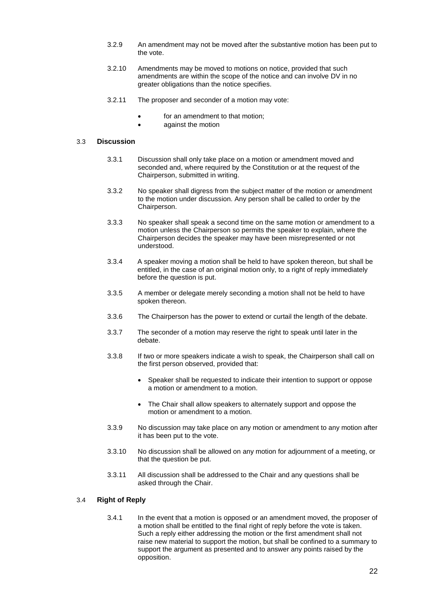- 3.2.9 An amendment may not be moved after the substantive motion has been put to the vote.
- 3.2.10 Amendments may be moved to motions on notice, provided that such amendments are within the scope of the notice and can involve DV in no greater obligations than the notice specifies.
- 3.2.11 The proposer and seconder of a motion may vote:
	- for an amendment to that motion;
	- against the motion

#### 3.3 **Discussion**

- 3.3.1 Discussion shall only take place on a motion or amendment moved and seconded and, where required by the Constitution or at the request of the Chairperson, submitted in writing.
- 3.3.2 No speaker shall digress from the subject matter of the motion or amendment to the motion under discussion. Any person shall be called to order by the Chairperson.
- 3.3.3 No speaker shall speak a second time on the same motion or amendment to a motion unless the Chairperson so permits the speaker to explain, where the Chairperson decides the speaker may have been misrepresented or not understood.
- 3.3.4 A speaker moving a motion shall be held to have spoken thereon, but shall be entitled, in the case of an original motion only, to a right of reply immediately before the question is put.
- 3.3.5 A member or delegate merely seconding a motion shall not be held to have spoken thereon.
- 3.3.6 The Chairperson has the power to extend or curtail the length of the debate.
- 3.3.7 The seconder of a motion may reserve the right to speak until later in the debate.
- 3.3.8 If two or more speakers indicate a wish to speak, the Chairperson shall call on the first person observed, provided that:
	- Speaker shall be requested to indicate their intention to support or oppose a motion or amendment to a motion.
	- The Chair shall allow speakers to alternately support and oppose the motion or amendment to a motion.
- 3.3.9 No discussion may take place on any motion or amendment to any motion after it has been put to the vote.
- 3.3.10 No discussion shall be allowed on any motion for adjournment of a meeting, or that the question be put.
- 3.3.11 All discussion shall be addressed to the Chair and any questions shall be asked through the Chair.

# 3.4 **Right of Reply**

3.4.1 In the event that a motion is opposed or an amendment moved, the proposer of a motion shall be entitled to the final right of reply before the vote is taken. Such a reply either addressing the motion or the first amendment shall not raise new material to support the motion, but shall be confined to a summary to support the argument as presented and to answer any points raised by the opposition.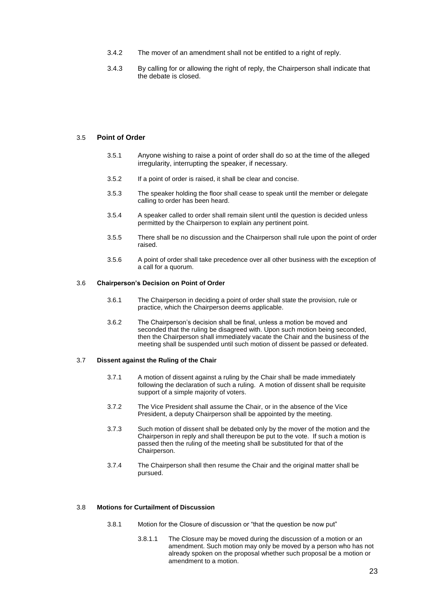- 3.4.2 The mover of an amendment shall not be entitled to a right of reply.
- 3.4.3 By calling for or allowing the right of reply, the Chairperson shall indicate that the debate is closed.

#### 3.5 **Point of Order**

- 3.5.1 Anyone wishing to raise a point of order shall do so at the time of the alleged irregularity, interrupting the speaker, if necessary.
- 3.5.2 If a point of order is raised, it shall be clear and concise.
- 3.5.3 The speaker holding the floor shall cease to speak until the member or delegate calling to order has been heard.
- 3.5.4 A speaker called to order shall remain silent until the question is decided unless permitted by the Chairperson to explain any pertinent point.
- 3.5.5 There shall be no discussion and the Chairperson shall rule upon the point of order raised.
- 3.5.6 A point of order shall take precedence over all other business with the exception of a call for a quorum.

#### 3.6 **Chairperson's Decision on Point of Order**

- 3.6.1 The Chairperson in deciding a point of order shall state the provision, rule or practice, which the Chairperson deems applicable.
- 3.6.2 The Chairperson's decision shall be final, unless a motion be moved and seconded that the ruling be disagreed with. Upon such motion being seconded, then the Chairperson shall immediately vacate the Chair and the business of the meeting shall be suspended until such motion of dissent be passed or defeated.

#### 3.7 **Dissent against the Ruling of the Chair**

- 3.7.1 A motion of dissent against a ruling by the Chair shall be made immediately following the declaration of such a ruling. A motion of dissent shall be requisite support of a simple majority of voters.
- 3.7.2 The Vice President shall assume the Chair, or in the absence of the Vice President, a deputy Chairperson shall be appointed by the meeting.
- 3.7.3 Such motion of dissent shall be debated only by the mover of the motion and the Chairperson in reply and shall thereupon be put to the vote. If such a motion is passed then the ruling of the meeting shall be substituted for that of the Chairperson.
- 3.7.4 The Chairperson shall then resume the Chair and the original matter shall be pursued.

#### 3.8 **Motions for Curtailment of Discussion**

- 3.8.1 Motion for the Closure of discussion or "that the question be now put"
	- 3.8.1.1 The Closure may be moved during the discussion of a motion or an amendment. Such motion may only be moved by a person who has not already spoken on the proposal whether such proposal be a motion or amendment to a motion.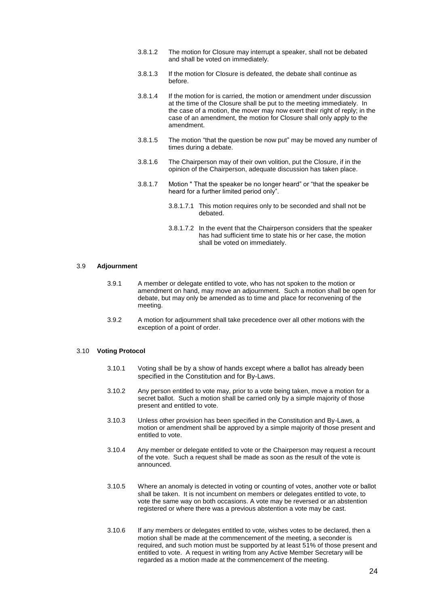- 3.8.1.2 The motion for Closure may interrupt a speaker, shall not be debated and shall be voted on immediately.
- 3.8.1.3 If the motion for Closure is defeated, the debate shall continue as before.
- 3.8.1.4 If the motion for is carried, the motion or amendment under discussion at the time of the Closure shall be put to the meeting immediately. In the case of a motion, the mover may now exert their right of reply; in the case of an amendment, the motion for Closure shall only apply to the amendment.
- 3.8.1.5 The motion "that the question be now put" may be moved any number of times during a debate.
- 3.8.1.6 The Chairperson may of their own volition, put the Closure, if in the opinion of the Chairperson, adequate discussion has taken place.
- 3.8.1.7 Motion " That the speaker be no longer heard" or "that the speaker be heard for a further limited period only".
	- 3.8.1.7.1 This motion requires only to be seconded and shall not be debated.
	- 3.8.1.7.2 In the event that the Chairperson considers that the speaker has had sufficient time to state his or her case, the motion shall be voted on immediately.

#### 3.9 **Adjournment**

- 3.9.1 A member or delegate entitled to vote, who has not spoken to the motion or amendment on hand, may move an adjournment. Such a motion shall be open for debate, but may only be amended as to time and place for reconvening of the meeting.
- 3.9.2 A motion for adjournment shall take precedence over all other motions with the exception of a point of order.

#### 3.10 **Voting Protocol**

- 3.10.1 Voting shall be by a show of hands except where a ballot has already been specified in the Constitution and for By-Laws.
- 3.10.2 Any person entitled to vote may, prior to a vote being taken, move a motion for a secret ballot. Such a motion shall be carried only by a simple majority of those present and entitled to vote.
- 3.10.3 Unless other provision has been specified in the Constitution and By-Laws, a motion or amendment shall be approved by a simple majority of those present and entitled to vote.
- 3.10.4 Any member or delegate entitled to vote or the Chairperson may request a recount of the vote. Such a request shall be made as soon as the result of the vote is announced.
- 3.10.5 Where an anomaly is detected in voting or counting of votes, another vote or ballot shall be taken. It is not incumbent on members or delegates entitled to vote, to vote the same way on both occasions. A vote may be reversed or an abstention registered or where there was a previous abstention a vote may be cast.
- 3.10.6 If any members or delegates entitled to vote, wishes votes to be declared, then a motion shall be made at the commencement of the meeting, a seconder is required, and such motion must be supported by at least 51% of those present and entitled to vote. A request in writing from any Active Member Secretary will be regarded as a motion made at the commencement of the meeting.